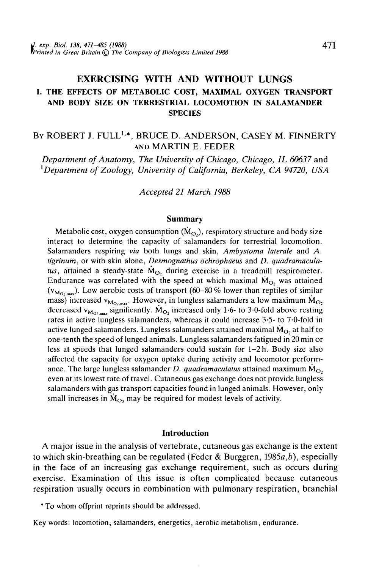# EXERCISING WITH AND WITHOUT LUNGS I. THE EFFECTS OF METABOLIC COST, MAXIMAL OXYGEN TRANSPORT AND BODY SIZE ON TERRESTRIAL LOCOMOTION IN SALAMANDER **SPECIES**

By ROBERT J. FULL<sup>1,</sup>\*, BRUCE D. ANDERSON, CASEY M. FINNERTY AND MARTIN E. FEDER

*Department of Anatomy, The University of Chicago, Chicago, IL 60637* and 1 *Department of Zoology, University of California, Berkeley, CA 94720, USA*

*Accepted 21 March 1988*

#### Summary

Metabolic cost, oxygen consumption  $(M<sub>O</sub>)$ , respiratory structure and body size interact to determine the capacity of salamanders for terrestrial locomotion. Salamanders respiring *via* both lungs and skin, *Ambystoma laterale* and *A. tigrinum,* or with skin alone, *Desmognathus ochrophaeus* and *D. quadramacula*tus, attained a steady-state  $\dot{M}_{O_2}$  during exercise in a treadmill respirometer. Endurance was correlated with the speed at which maximal  $\dot{M}_O$ , was attained  $(v_{M<sub>O2,mn</sub>)}$ . Low aerobic costs of transport (60–80 % lower than reptiles of similar mass) increased  $v_{M_{\text{O}_2,max}}$ . However, in lungless salamanders a low maximum  $M_{\text{O}_2}$ decreased  $v_{M_0}$ <sub>2</sub> significantly. M<sub>O<sub>2</sub> increased only 1.6- to 3.0-fold above resting</sub> rates in active lungless salamanders, whereas it could increase 3-5- to 7-0-fold in active lunged salamanders. Lungless salamanders attained maximal  $\dot{M}_{O_2}$  at half to one-tenth the speed of lunged animals. Lungless salamanders fatigued in 20 min or less at speeds that lunged salamanders could sustain for 1-2 h. Body size also affected the capacity for oxygen uptake during activity and locomotor performance. The large lungless salamander *D. quadramaculatus* attained maximum  $\dot{M}_{\odot}$ even at its lowest rate of travel. Cutaneous gas exchange does not provide lungless salamanders with gas transport capacities found in lunged animals. However, only small increases in  $\dot{M}_{\odot}$ , may be required for modest levels of activity.

### **Introduction**

A major issue in the analysis of vertebrate, cutaneous gas exchange is the extent to which skin-breathing can be regulated (Feder & Burggren, 1985a,*b),* especially in the face of an increasing gas exchange requirement, such as occurs during exercise. Examination of this issue is often complicated because cutaneous respiration usually occurs in combination with pulmonary respiration, branchial

\*To whom offprint reprints should be addressed.

Key words: locomotion, salamanders, energetics, aerobic metabolism, endurance.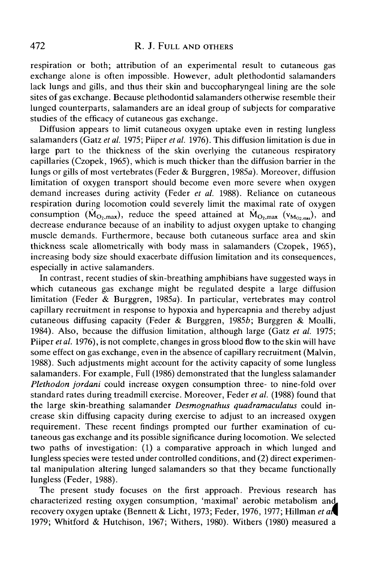respiration or both; attribution of an experimental result to cutaneous gas exchange alone is often impossible. However, adult plethodontid salamanders lack lungs and gills, and thus their skin and buccopharyngeal lining are the sole sites of gas exchange. Because plethodontid salamanders otherwise resemble their lunged counterparts, salamanders are an ideal group of subjects for comparative studies of the efficacy of cutaneous gas exchange.

Diffusion appears to limit cutaneous oxygen uptake even in resting lungless salamanders (Gatz *et al.* 1975; Piiper *et al.* 1976). This diffusion limitation is due in large part to the thickness of the skin overlying the cutaneous respiratory capillaries (Czopek, 1965), which is much thicker than the diffusion barrier in the lungs or gills of most vertebrates (Feder & Burggren, 1985a). Moreover, diffusion limitation of oxygen transport should become even more severe when oxygen demand increases during activity (Feder *et al.* 1988). Reliance on cutaneous respiration during locomotion could severely limit the maximal rate of oxygen consumption  $(M_{O_2, max})$ , reduce the speed attained at  $\dot{M}_{O_2, max}$  ( $v_{M_{O_2, max}}$ ), and decrease endurance because of an inability to adjust oxygen uptake to changing muscle demands. Furthermore, because both cutaneous surface area and skin thickness scale allometrically with body mass in salamanders (Czopek, 1965), increasing body size should exacerbate diffusion limitation and its consequences, especially in active salamanders.

In contrast, recent studies of skin-breathing amphibians have suggested ways in which cutaneous gas exchange might be regulated despite a large diffusion limitation (Feder & Burggren, 1985a). In particular, vertebrates may control capillary recruitment in response to hypoxia and hypercapnia and thereby adjust cutaneous diffusing capacity (Feder & Burggren, 1985b; Burggren & Moalli, 1984). Also, because the diffusion limitation, although large (Gatz *et al.* 1975; Piiper *et al.* 1976), is not complete, changes in gross blood flow to the skin will have some effect on gas exchange, even in the absence of capillary recruitment (Malvin, 1988). Such adjustments might account for the activity capacity of some lungless salamanders. For example, Full (1986) demonstrated that the lungless salamander *Plethodon jordani* could increase oxygen consumption three- to nine-fold over standard rates during treadmill exercise. Moreover, Feder *et al.* (1988) found that the large skin-breathing salamander *Desmognathus quadramaculatus* could increase skin diffusing capacity during exercise to adjust to an increased oxygen requirement. These recent findings prompted our further examination of cutaneous gas exchange and its possible significance during locomotion. We selected two paths of investigation: (1) a comparative approach in which lunged and lungless species were tested under controlled conditions, and (2) direct experimental manipulation altering lunged salamanders so that they became functionally lungless (Feder, 1988).

The present study focuses on the first approach. Previous research has characterized resting oxygen consumption, 'maximal' aerobic metabolism an recovery oxygen uptake (Bennett & Licht, 1973; Feder, 1976, 1977; Hillman *et* 1979; Whitford & Hutchison, 1967; Withers, 1980). Withers (1980) measured a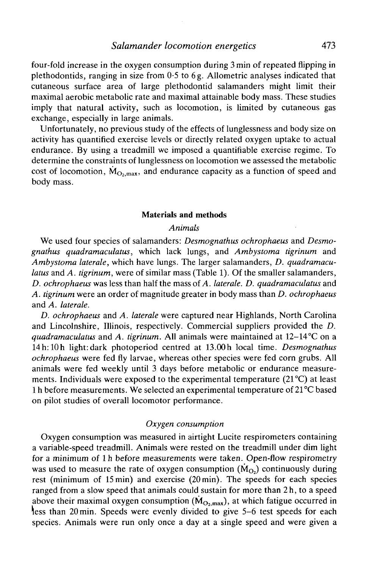four-fold increase in the oxygen consumption during 3 min of repeated flipping in plethodontids, ranging in size from 0-5 to 6g. Allometric analyses indicated that cutaneous surface area of large plethodontid salamanders might limit their maximal aerobic metabolic rate and maximal attainable body mass. These studies imply that natural activity, such as locomotion, is limited by cutaneous gas exchange, especially in large animals.

Unfortunately, no previous study of the effects of lunglessness and body size on activity has quantified exercise levels or directly related oxygen uptake to actual endurance. By using a treadmill we imposed a quantifiable exercise regime. To determine the constraints of lunglessness on locomotion we assessed the metabolic cost of locomotion,  $\dot{M}_{\text{O, max}}$ , and endurance capacity as a function of speed and body mass.

#### Materials and methods

## *Animals*

We used four species of salamanders: *Desmognathus ochrophaeus* and *Desmognathus quadramaculatus,* which lack lungs, and *Ambystoma tigrinum* and *Ambystoma later ale,* which have lungs. The larger salamanders, *D. quadramaculatus* and *A. tigrinum,* were of similar mass (Table 1). Of the smaller salamanders, *D. ochrophaeus* was less than half the mass of *A. later ale. D. quadramaculatus* and *A. tigrinum* were an order of magnitude greater in body mass than *D. ochrophaeus* and A. laterale.

*D. ochrophaeus* and *A. laterale* were captured near Highlands, North Carolina and Lincolnshire, Illinois, respectively. Commercial suppliers provided the *D. quadramaculatus* and *A. tigrinum.* All animals were maintained at 12-14°C on a 14h:10h light: dark photoperiod centred at 13.00h local time. *Desmognathus ochrophaeus* were fed fly larvae, whereas other species were fed corn grubs. All animals were fed weekly until 3 days before metabolic or endurance measurements. Individuals were exposed to the experimental temperature  $(21^{\circ}C)$  at least 1 h before measurements. We selected an experimental temperature of 21 °C based on pilot studies of overall locomotor performance.

### *Oxygen consumption*

Oxygen consumption was measured in airtight Lucite respirometers containing a variable-speed treadmill. Animals were rested on the treadmill under dim light for a minimum of l h before measurements were taken. Open-flow respirometry was used to measure the rate of oxygen consumption  $(M<sub>O</sub>)$  continuously during rest (minimum of 15 min) and exercise (20min). The speeds for each species ranged from a slow speed that animals could sustain for more than 2h, to a speed above their maximal oxygen consumption  $(\dot{M}_{O_2,max})$ , at which fatigue occurred in less than 20min. Speeds were evenly divided to give 5-6 test speeds for each species. Animals were run only once a day at a single speed and were given a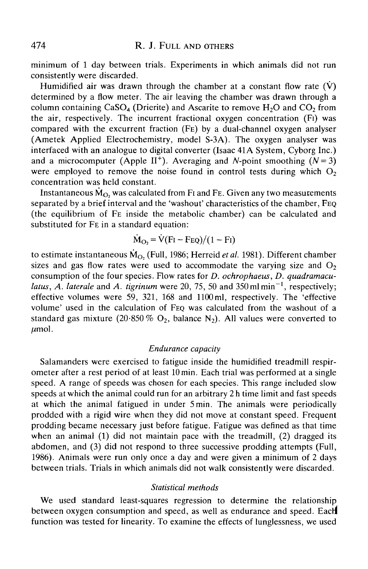minimum of 1 day between trials. Experiments in which animals did not run consistently were discarded.

Humidified air was drawn through the chamber at a constant flow rate  $(\dot{V})$ determined by a flow meter. The air leaving the chamber was drawn through a column containing  $CaSO<sub>4</sub>$  (Drierite) and Ascarite to remove  $H<sub>2</sub>O$  and  $CO<sub>2</sub>$  from the air, respectively. The incurrent fractional oxygen concentration (Fi) was compared with the excurrent fraction (FE) by a dual-channel oxygen analyser (Ametek Applied Electrochemistry, model S-3A). The oxygen analyser was interfaced with an analogue to digital converter (Isaac 41A System, Cyborg Inc.) and a microcomputer (Apple II<sup>+</sup>). Averaging and N-point smoothing  $(N = 3)$ were employed to remove the noise found in control tests during which  $O<sub>2</sub>$ concentration was held constant.

Instantaneous  $\dot{M}_{O}$ , was calculated from F<sub>I</sub> and F<sub>E</sub>. Given any two measurements separated by a brief interval and the 'washout' characteristics of the chamber, FEQ (the equilibrium of FE inside the metabolic chamber) can be calculated and substituted for FE in a standard equation:

$$
\dot{M}_{\text{O}_2} = \dot{V}(\text{Fi} - \text{FeQ})/(1 - \text{Fi})
$$

to estimate instantaneous  $\dot{M}_{O_2}$  (Full, 1986; Herreid *et al.* 1981). Different chamber sizes and gas flow rates were used to accommodate the varying size and  $O<sub>2</sub>$ consumption of the four species. Flow rates for *D. ochrophaeus, D. quadramacu*latus, A. laterale and A. tigrinum were 20, 75, 50 and 350 ml min<sup>-1</sup>, respectively; effective volumes were 59, 321, 168 and 1100 ml, respectively. The 'effective volume' used in the calculation of FEQ was calculated from the washout of a standard gas mixture (20.850% O<sub>2</sub>, balance N<sub>2</sub>). All values were converted to  $\mu$ mol.

### *Endurance capacity*

Salamanders were exercised to fatigue inside the humidified treadmill respirometer after a rest period of at least lOmin. Each trial was performed at a single speed. A range of speeds was chosen for each species. This range included slow speeds at which the animal could run for an arbitrary 2 h time limit and fast speeds at which the animal fatigued in under 5min. The animals were periodically prodded with a rigid wire when they did not move at constant speed. Frequent prodding became necessary just before fatigue. Fatigue was defined as that time when an animal (1) did not maintain pace with the treadmill, (2) dragged its abdomen, and (3) did not respond to three successive prodding attempts (Full, 1986). Animals were run only once a day and were given a minimum of 2 days between trials. Trials in which animals did not walk consistently were discarded.

#### *Statistical methods*

We used standard least-squares regression to determine the relationship between oxygen consumption and speed, as well as endurance and speed. Each function was tested for linearity. To examine the effects of lunglessness, we used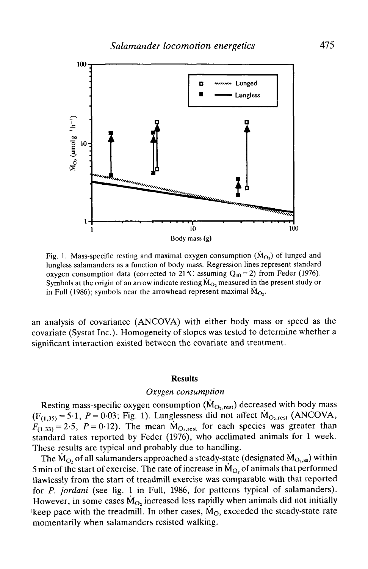

Fig. 1. Mass-specific resting and maximal oxygen consumption  $(M<sub>O</sub>)$  of lunged and lungless salamanders as a function of body mass. Regression lines represent standard oxygen consumption data (corrected to 21 °C assuming  $Q_{10} = 2$ ) from Feder (1976). Symbols at the origin of an arrow indicate resting  $M<sub>O<sub>2</sub></sub>$  measured in the present study or in Full (1986); symbols near the arrowhead represent maximal  $M_{\text{Q}+}$ .

an analysis of covariance (ANCOVA) with either body mass or speed as the covariate (Systat Inc.). Homogeneity of slopes was tested to determine whether a significant interaction existed between the covariate and treatment.

#### **Results**

### *Oxygen consumption*

Resting mass-specific oxygen consumption  $(M<sub>O<sub>2</sub>, rest</sub>)$  decreased with body mass  $(F_{(1,35)} = 5.1, P = 0.03;$  Fig. 1). Lunglessness did not affect  $\dot{M}_{O_2, rest}$  (ANCOVA,  $F_{(1,33)} = 2.5$ ,  $P = 0.12$ ). The mean  $M_{\text{O}_2,rest}$  for each species was greater than standard rates reported by Feder (1976), who acclimated animals for 1 week. These results are typical and probably due to handling.

The  $M_{O_2}$  of all salamanders approached a steady-state (designated  $\dot{M}_{O_2,ss}$ ) within 5 min of the start of exercise. The rate of increase in  $\dot{M}_{O_2}$  of animals that performed flawlessly from the start of treadmill exercise was comparable with that reported for *P. jordani* (see fig. 1 in Full, 1986, for patterns typical of salamanders). However, in some cases  $M_{O_2}$  increased less rapidly when animals did not initially 'keep pace with the treadmill. In other cases,  $M_{\text{O}_2}$  exceeded the steady-state rate momentarily when salamanders resisted walking.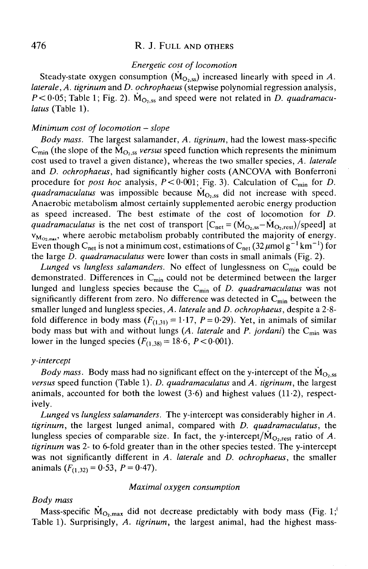# 476 R. J. FULL AND OTHERS

### *Energetic cost of locomotion*

Steady-state oxygen consumption  $(M<sub>O<sub>2</sub>ss</sub>)$  increased linearly with speed in A. *laterale, A. tigrinum* and *D. ochrophaeus* (stepwise polynomial regression analysis,  $P < 0.05$ ; Table 1; Fig. 2).  $\dot{M}_{O_2,ss}$  and speed were not related in *D. quadramaculatus* (Table 1).

### *Minimum cost of locomotion - slope*

*Body mass.* The largest salamander, *A. tigrinum,* had the lowest mass-specific  $C_{\text{min}}$  (the slope of the  $\dot{M}_{\text{O}_2,ss}$  *versus* speed function which represents the minimum cost used to travel a given distance), whereas the two smaller species, *A. laterale* and *D. ochrophaeus,* had significantly higher costs (ANCOVA with Bonferroni procedure for *post hoc* analysis,  $P < 0.001$ ; Fig. 3). Calculation of C<sub>min</sub> for *D*. *quadramaculatus* was impossible because  $\dot{M}_{O<sub>2.55</sub>}$  did not increase with speed. Anaerobic metabolism almost certainly supplemented aerobic energy production as speed increased. The best estimate of the cost of locomotion for *D. quadramaculatus* is the net cost of transport  $[C<sub>net</sub> = (M<sub>O.ss</sub> - M<sub>O.rest</sub>)/speed]$  at  $v_{M_{\text{O}}},$  where aerobic metabolism probably contributed the majority of energy. Even though C<sub>net</sub> is not a minimum cost, estimations of C<sub>net</sub>  $(32 \mu molg^{-1}km^{-1})$  for the large *D. quadramaculatus* were lower than costs in small animals (Fig. 2).

Lunged vs lungless salamanders. No effect of lunglessness on C<sub>min</sub> could be demonstrated. Differences in  $C_{\text{min}}$  could not be determined between the larger lunged and lungless species because the Cmin of *D. quadramaculatus* was not significantly different from zero. No difference was detected in  $C_{\text{min}}$  between the smaller lunged and lungless species, *A. laterale* and *D. ochrophaeus,* despite a 2-8 fold difference in body mass  $(F_{(1,31)} = 1.17, P = 0.29)$ . Yet, in animals of similar body mass but with and without lungs *(A. laterale* and *P. jordani)* the Cmin was lower in the lunged species  $(F_{(1,38)} = 18.6, P < 0.001)$ .

### *y-intercept*

*Body mass.* Body mass had no significant effect on the y-intercept of the  $\dot{M}_{O<sub>2.55</sub>}$ *versus* speed function (Table 1). *D. quadramaculatus* and *A. tigrinum,* the largest animals, accounted for both the lowest  $(3.6)$  and highest values  $(11.2)$ , respectively.

*Lunged* vs *lungless salamanders.* The y-intercept was considerably higher in *A. tigrinum,* the largest lunged animal, compared with *D. quadramaculatus,* the lungless species of comparable size. In fact, the y-intercept/ $\dot{M}_{O<sub>1</sub> rest}$  ratio of A. *tigrinum* was 2- to 6-fold greater than in the other species tested. The y-intercept was not significantly different in *A. laterale* and *D. ochrophaeus,* the smaller animals  $(F_{(1,32)} = 0.53, P = 0.47)$ .

#### *Maximal oxygen consumption*

#### *Body mass*

Mass-specific  $\dot{M}_{O_7,max}$  did not decrease predictably with body mass (Fig. 1;<sup>'</sup> Table 1). Surprisingly, *A. tigrinum,* the largest animal, had the highest mass-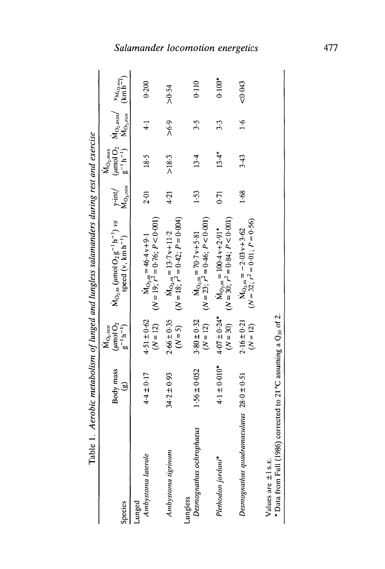| Table 1                                                                                    |                           |                                                                                | Aerobic metabolism of lunged and lungless salamanders during rest and exercise   |      |                                                                                                                                                                                                               |               |          |
|--------------------------------------------------------------------------------------------|---------------------------|--------------------------------------------------------------------------------|----------------------------------------------------------------------------------|------|---------------------------------------------------------------------------------------------------------------------------------------------------------------------------------------------------------------|---------------|----------|
| Species                                                                                    | Body mass<br>$\mathbf{e}$ | $(\mu$ mol $O2$<br>$g^{-1}h^{-1}$<br>$\mathsf{M}_{\mathrm{O}_2,\mathrm{rest}}$ | $M_{O_{2},ss}$ (umol $O_{2}g^{-1}h^{-1}$ ) vs<br>speed (v, km h <sup>-1</sup> )  |      | y-int/ $(\mu \text{mol } O_2 \text{M}_{O_2,\text{max}} / \text{v}_{M_{O_2,\text{max}}} )$<br>M <sub>O2</sub> , rest $g^{-1} h^{-1}$ ) M <sub>O2</sub> , rest $(\text{km } h^{-1})$<br>$\dot{M}_{\rm O_2,max}$ |               |          |
| Ambystoma laterale<br>Lunged                                                               | $4.4 \pm 0.17$            | $4.51 \pm 0.62$<br>$(N = 12)$                                                  | $(N = 19; r^2 = 0.76; P < 0.001)$<br>$M_{\text{O, ss}} = 46.4 \text{ v} + 9.1$   | 2.01 | 18.5                                                                                                                                                                                                          | $\ddot{+}$    | 0.200    |
| Ambystoma tigrinum                                                                         | $34.2 \pm 0.93$           | $2.66 \pm 0.35$<br>$(N=5)$                                                     | $(N = 18; r^2 = 0.42; P = 0.04)$<br>$M_{\text{O}_2,ss} = 13.7 \text{v} + 11.2$   | 4.21 | >18.3                                                                                                                                                                                                         | 5.9 <         | > 0.54   |
| Desmognathus ochrophaeus<br>Lungless                                                       | $1.56 \pm 0.052$          | $3.80 \pm 0.32$<br>$(N = 12)$                                                  | $(N = 23; r2 = 0.46; P < 0.001)$<br>$M_{\text{O,ss}} = 70.7 v + 5.81$            | 1.53 | 13.4                                                                                                                                                                                                          | 3.5           | 0.110    |
| Plethodon jordani*                                                                         | $4.1 \pm 0.010*$          | $4.07 \pm 0.24$ *<br>$(N = 30)$                                                | $(N = 30; r2 = 0.84; P < 0.001)$<br>$M_{\text{O}_2, ss} = 100.4 v + 2.91*$       | 0.71 | $13.4*$                                                                                                                                                                                                       | 3.3           | $0.100*$ |
| Desmognathus quadramaculatus $28.0 \pm 0.51$                                               |                           | $2.16 \pm 0.21$<br>$(N = 12)$                                                  | $(N = 32; r^2 = 0.01; P = 0.56)$<br>$M_{\text{O}_2,ss} = -2.03 \text{ v} + 3.62$ | 1.68 | 3.43                                                                                                                                                                                                          | $\frac{6}{1}$ | < 0.043  |
| * Data from Full (1986) corrected to 21 °C assuming a $Q_{10}$ of 2.<br>Values are ±1 s.E. |                           |                                                                                |                                                                                  |      |                                                                                                                                                                                                               |               |          |

# **Salamander locomotion energet**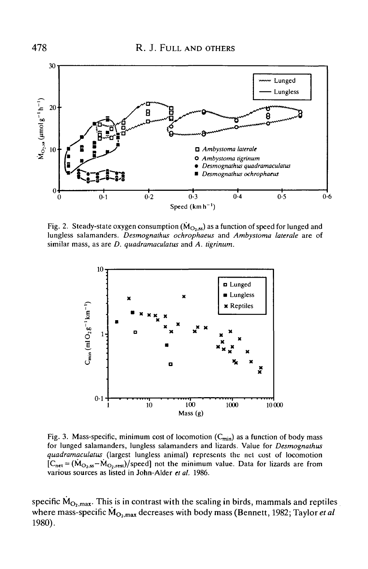

Fig. 2. Steady-state oxygen consumption ( $\dot{M}_{O_2,ss}$ ) as a function of speed for lunged and lungless salamanders. *Desmognathus ochrophaeus* and *Ambystoma laterale* are of similar mass, as are *D. quadramaculatus* and *A. tigrinum.*



Fig. 3. Mass-specific, minimum cost of locomotion  $(C_{\text{min}})$  as a function of body mass for lunged salamanders, lungless salamanders and lizards. Value for *Desmognathus quadramaculatus* (largest lungless animal) represents the net cost of locomotion  $[C<sub>net</sub> = (M<sub>O<sub>2</sub>,ss-M<sub>O<sub>2</sub>,rest</sub>)/speed]</sub>$  not the minimum value. Data for lizards are from various sources as listed in John-Alder *et al.* 1986.

specific  $\dot{M}_{O_2, max}$ . This is in contrast with the scaling in birds, mammals and reptiles where mass-specific  $\dot{M}_{O_2, max}$  decreases with body mass (Bennett, 1982; Taylor *et al.* 1980).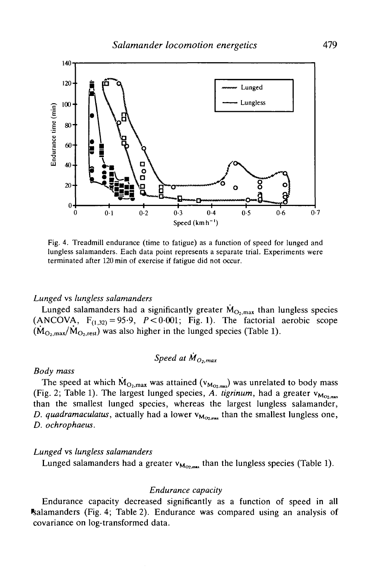

Fig. 4. Treadmill endurance (time to fatigue) as a function of speed for lunged and lungless salamanders. Each data point represents a separate trial. Experiments were terminated after 120 min of exercise if fatigue did not occur.

## *Lunged* vs *lungless salamanders*

Lunged salamanders had a significantly greater  $\dot{M}_{O_2, max}$  than lungless species (ANCOVA,  $F_{(1,32)} = 95.9$ ,  $P < 0.001$ ; Fig. 1). The factorial aerobic scope  $(M_{O_2, max}/M_{O_2, rest})$  was also higher in the lunged species (Table 1).

Speed at 
$$
M_{O_2,max}
$$

### *Body mass*

The speed at which  $\dot{M}_{O_2,max}$  was attained ( $v_{M_{O_2,max}}$ ) was unrelated to body mass (Fig. 2; Table 1). The largest lunged species, A. tigrinum, had a greater  $v_{M_{O2,mas}}$ than the smallest lunged species, whereas the largest lungless salamander, *D. quadramaculatus*, actually had a lower  $v_{M_{\text{OZ},\text{max}}}$  than the smallest lungless one, *D. ochrophaeus.*

## *Lunged* vs *lungless salamanders*

Lunged salamanders had a greater  $v_{M_{OZ, max}}$  than the lungless species (Table 1).

### *Endurance capacity*

Endurance capacity decreased significantly as a function of speed in all •salamanders (Fig. 4; Table 2). Endurance was compared using an analysis of covariance on log-transformed data.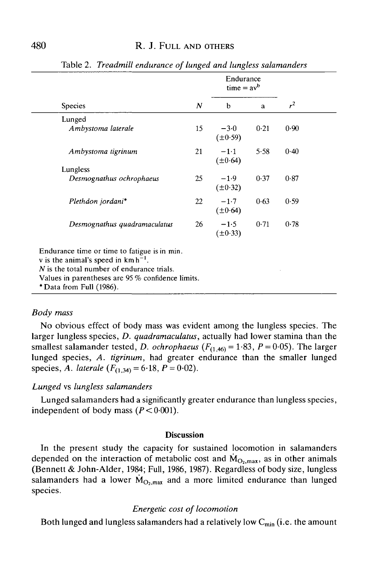|                                                                                                                                                                                                                          |    |                        | Endurance<br>$time = avb$ |                |  |
|--------------------------------------------------------------------------------------------------------------------------------------------------------------------------------------------------------------------------|----|------------------------|---------------------------|----------------|--|
| Species                                                                                                                                                                                                                  | N  | b                      | a                         | r <sup>2</sup> |  |
| Lunged                                                                                                                                                                                                                   |    |                        |                           |                |  |
| Ambystoma laterale                                                                                                                                                                                                       | 15 | $-3.0$<br>$(\pm 0.59)$ | 0.21                      | 0.90           |  |
| Ambystoma tigrinum                                                                                                                                                                                                       | 21 | $-1.1$<br>$(\pm 0.64)$ | 5.58                      | 0.40           |  |
| Lungless                                                                                                                                                                                                                 |    |                        |                           |                |  |
| Desmognathus ochrophaeus                                                                                                                                                                                                 | 25 | $-1.9$<br>$(\pm 0.32)$ | 0.37                      | 0.87           |  |
| Plethdon jordani*                                                                                                                                                                                                        | 22 | $-1.7$<br>$(\pm 0.64)$ | 0.63                      | 0.59           |  |
| Desmognathus quadramaculatus                                                                                                                                                                                             | 26 | $-1.5$<br>$(\pm 0.33)$ | 0.71                      | 0.78           |  |
| Endurance time or time to fatigue is in min.<br>v is the animal's speed in $km h^{-1}$ .<br>$N$ is the total number of endurance trials.<br>Values in parentheses are 95% confidence limits.<br>* Data from Full (1986). |    |                        |                           |                |  |

Table 2. *Treadmill endurance of lunged and lungless salamanders*

# *Body mass*

No obvious effect of body mass was evident among the lungless species. The larger lungless species, *D. quadramaculatus*, actually had lower stamina than the smallest salamander tested, *D. ochrophaeus* ( $F_{(1,46)} = 1.83$ ,  $P = 0.05$ ). The larger lunged species, *A. tigrinum,* had greater endurance than the smaller lunged species, *A. laterale*  $(F_{(1,34)} = 6.18, P = 0.02)$ .

### *Lunged* vs *lungless salamanders*

Lunged salamanders had a significantly greater endurance than lungless species, independent of body mass  $(P < 0.001)$ .

#### **Discussion**

In the present study the capacity for sustained locomotion in salamanders depended on the interaction of metabolic cost and  $\dot{M}_{O_2,max}$ , as in other animals (Bennett & John-Alder, 1984; Full, 1986, 1987). Regardless of body size, lungless salamanders had a lower  $\dot{M}_{\text{O, max}}$  and a more limited endurance than lunged species.

#### *Energetic cost of locomotion*

Both lunged and lungless salamanders had a relatively low  $C_{\text{min}}$  (i.e. the amount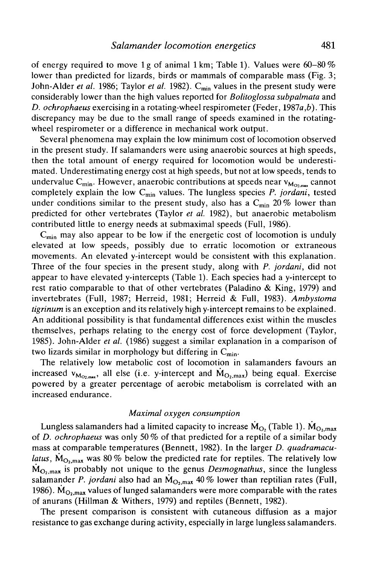of energy required to move lg of animal lkm; Table 1). Values were 60-80% lower than predicted for lizards, birds or mammals of comparable mass (Fig. 3; John-Alder *et al.* 1986; Taylor *et al.* 1982). C<sub>min</sub> values in the present study were considerably lower than the high values reported for *Bolitoglossa subpalmata* and *D. ochrophaeus* exercising in a rotating-wheel respirometer (Feder, 1987a,*b).* This discrepancy may be due to the small range of speeds examined in the rotatingwheel respirometer or a difference in mechanical work output.

Several phenomena may explain the low minimum cost of locomotion observed in the present study. If salamanders were using anaerobic sources at high speeds, then the total amount of energy required for locomotion would be underestimated. Underestimating energy cost at high speeds, but not at low speeds, tends to undervalue C<sub>min</sub>. However, anaerobic contributions at speeds near  $v_{M_{O2,m}}$  cannot completely explain the low C<sub>min</sub> values. The lungless species *P. jordani*, tested under conditions similar to the present study, also has a  $C_{\text{min}}$  20 % lower than predicted for other vertebrates (Taylor *et al.* 1982), but anaerobic metabolism contributed little to energy needs at submaximal speeds (Full, 1986).

 $C_{\text{min}}$  may also appear to be low if the energetic cost of locomotion is unduly elevated at low speeds, possibly due to erratic locomotion or extraneous movements. An elevated y-intercept would be consistent with this explanation. Three of the four species in the present study, along with *P. jordani,* did not appear to have elevated y-intercepts (Table 1). Each species had a y-intercept to rest ratio comparable to that of other vertebrates (Paladino & King, 1979) and invertebrates (Full, 1987; Herreid, 1981; Herreid & Full, 1983). *Ambystoma tigrinum* is an exception and its relatively high y-intercept remains to be explained. An additional possibility is that fundamental differences exist within the muscles themselves, perhaps relating to the energy cost of force development (Taylor, 1985). John-Alder *et al.* (1986) suggest a similar explanation in a comparison of two lizards similar in morphology but differing in  $C_{\text{min}}$ .

The relatively low metabolic cost of locomotion in salamanders favours an increased  $v_{M_{\text{O}}/max}$ , all else (i.e. y-intercept and  $\dot{M}_{\text{O}_2,max}$ ) being equal. Exercise powered by a greater percentage of aerobic metabolism is correlated with an increased endurance.

#### *Maximal oxygen consumption*

Lungless salamanders had a limited capacity to increase  $\dot{M}_{\text{O}}$ , (Table 1).  $\dot{M}_{\text{O}}$ , max of *D. ochrophaeus* was only 50 % of that predicted for a reptile of a similar body mass at comparable temperatures (Bennett, 1982). In the larger *D. quadramaculatus,*  $\dot{M}_{\text{O}_2,\text{max}}$  was 80% below the predicted rate for reptiles. The relatively low  $\dot{M}_{\text{O}_2,\text{max}}$  is probably not unique to the genus *Desmognathus*, since the lungless salamander *P. jordani* also had an  $\dot{M}_{O, max}$  40% lower than reptilian rates (Full, 1986).  $\dot{M}_{\text{O}_2,\text{max}}$  values of lunged salamanders were more comparable with the rates of anurans (Hillman & Withers, 1979) and reptiles (Bennett, 1982).

The present comparison is consistent with cutaneous diffusion as a major resistance to gas exchange during activity, especially in large lungless salamanders.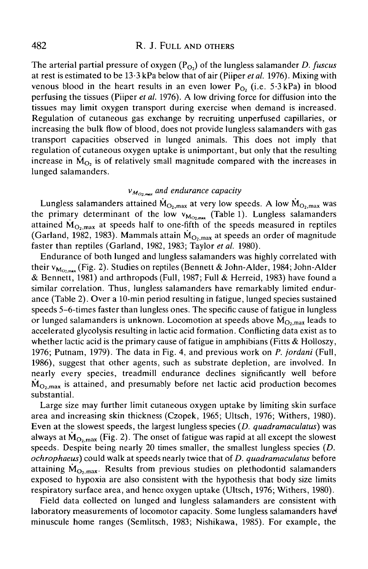The arterial partial pressure of oxygen (P<sub>O2</sub>) of the lungless salamander *D. fuscus* at rest is estimated to be 13-3 kPa below that of air (Piiper *etal.* 1976). Mixing with venous blood in the heart results in an even lower  $P_{Q_2}$  (i.e. 5.3 kPa) in blood perfusing the tissues (Piiper *et al.* 1976). A low driving force for diffusion into the tissues may limit oxygen transport during exercise when demand is increased. Regulation of cutaneous gas exchange by recruiting unperfused capillaries, or increasing the bulk flow of blood, does not provide lungless salamanders with gas transport capacities observed in lunged animals. This does not imply that regulation of cutaneous oxygen uptake is unimportant, but only that the resulting increase in  $\dot{M}_{O<sub>2</sub>}$  is of relatively small magnitude compared with the increases in lunged salamanders.

# $v_{M_{O_2, max}}$  and endurance capacity

Lungless salamanders attained  $\dot{M}_{\text{O}_2,\text{max}}$  at very low speeds. A low  $\dot{M}_{\text{O}_2,\text{max}}$  was the primary determinant of the low  $v_{M_{Q_{2,max}}}$  (Table 1). Lungless salamanders attained  $\dot{M}_{O_2, max}$  at speeds half to one-fifth of the speeds measured in reptiles (Garland, 1982, 1983). Mammals attain  $\dot{M}_{O<sub>2,max</sub>}$  at speeds an order of magnitude faster than reptiles (Garland, 1982, 1983; Taylor et al. 1980).

Endurance of both lunged and lungless salamanders was highly correlated with their  $v_{M_{\text{O}}_{\text{max}}}$  (Fig. 2). Studies on reptiles (Bennett & John-Alder, 1984; John-Alder & Bennett, 1981) and arthropods (Full, 1987; Full & Herreid, 1983) have found a similar correlation. Thus, lungless salamanders have remarkably limited endurance (Table 2). Over a 10-min period resulting in fatigue, lunged species sustained speeds 5-6-times faster than lungless ones. The specific cause of fatigue in lungless or lunged salamanders is unknown. Locomotion at speeds above  $\dot{M}_{O_2,max}$  leads to accelerated glycolysis resulting in lactic acid formation. Conflicting data exist as to whether lactic acid is the primary cause of fatigue in amphibians (Fitts  $\&$  Holloszy, 1976; Putnam, 1979). The data in Fig. 4, and previous work on *P. jordani* (Full, 1986), suggest that other agents, such as substrate depletion, are involved. In nearly every species, treadmill endurance declines significantly well before  $\dot{M}_{O_2, max}$  is attained, and presumably before net lactic acid production becomes substantial.

Large size may further limit cutaneous oxygen uptake by limiting skin surface area and increasing skin thickness (Czopek, 1965; Ultsch, 1976; Withers, 1980). Even at the slowest speeds, the largest lungless species *(D. quadramaculatus)* was always at  $\dot{M}_{\text{O}_2, max}$  (Fig. 2). The onset of fatigue was rapid at all except the slowest speeds. Despite being nearly 20 times smaller, the smallest lungless species *(D. ochrophaeus)* could walk at speeds nearly twice that of *D. quadramaculatus* before attaining  $\dot{M}_{\text{O}_2, max}$ . Results from previous studies on plethodontid salamanders exposed to hypoxia are also consistent with the hypothesis that body size limits respiratory surface area, and hence oxygen uptake (Ultsch, 1976; Withers, 1980).

Field data collected on lunged and lungless salamanders are consistent with laboratory measurements of locomotor capacity. Some lungless salamanders have minuscule home ranges (Semlitsch, 1983; Nishikawa, 1985). For example, the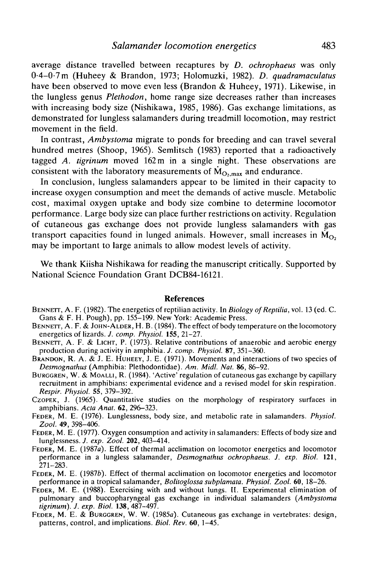average distance travelled between recaptures by *D. ochrophaeus* was only 0-4-0-7m (Huheey & Brandon, 1973; Holomuzki, 1982). *D. quadramaculatus* have been observed to move even less (Brandon & Huheey, 1971). Likewise, in the lungless genus *Plethodon,* home range size decreases rather than increases with increasing body size (Nishikawa, 1985, 1986). Gas exchange limitations, as demonstrated for lungless salamanders during treadmill locomotion, may restrict movement in the field.

In contrast, *Ambystoma* migrate to ponds for breeding and can travel several hundred metres (Shoop, 1965). Semlitsch (1983) reported that a radioactively tagged *A. tigrinum* moved 162m in a single night. These observations are consistent with the laboratory measurements of  $\dot{M}_{O_2, max}$  and endurance

In conclusion, lungless salamanders appear to be limited in their capacity to increase oxygen consumption and meet the demands of active muscle. Metabolic cost, maximal oxygen uptake and body size combine to determine locomotor performance. Large body size can place further restrictions on activity. Regulation of cutaneous gas exchange does not provide lungless salamanders with gas transport capacities found in lunged animals. However, small increases in  $\dot{M}_{\Omega}$ , may be important to large animals to allow modest levels of activity.

We thank Kiisha Nishikawa for reading the manuscript critically. Supported by National Science Foundation Grant DCB84-16121.

#### **References**

- BENNETT, A. F. (1982). The energetics of reptilian activity. In *Biology of Reptilia*, vol. 13 (ed. C. Gans & F. H. Pough), pp. 155–199. New York: Academic Press.<br>BENNETT, A. F. & JOHN-ALDER, H. B. (1984). The effect of bo
- 
- BENNETT, A. F. & LICHT, P. (1973). Relative contributions of anaerobic and aerobic energy production during activity in amphibia. *J. comp. Physiol.* **87**, 351–360.
- BRANDON, R. A. & J. E. HUHEEY, J. E. (1971). Movements and interactions of two species of *Desmognathus* (Amphibia: Plethodontidae). Am. Midl. Nat. 86, 86–92.
- *BURGGREN, W. & MOALLI, R. (1984).* 'Active' regulation of cutaneous gas exchange by capillary recruitment in amphibians: experimental evidence and a revised model for skin respiration.
- Respir. Physiol. 55, 379-392.<br>Czopek, J. (1965). Quantitative studies on the morphology of respiratory surfaces in amphibians. Acta Anat. 62, 296-323.
- FEDER, M. E. (1976). Lunglessness, body size, and metabolic rate in salamanders. *Physiol.* Zool. **49**, 398-406.
- *FEDER, M. E. (1977).* Oxygen consumption and activity in salamanders: Effects of body size and lunglessness. *J. exp. Zool.* **202**, 403–414.
- FEDER, M. E. (1987a). Effect of thermal acclimation on locomotor energetics and locomotor performance in a lungless salamander, *Desmognathus ochrophaeus. J. exp. Biol.* **121,**
- 271–283. FEDER, M. E. (1987b). Effect of thermal acclimation on locomotor energetics and locomotor performance in a tropical salamander, *Bolitoglossa subplamata. Physiol. Zool.* 60, 18–26.
- FEDER, M. E. (1988). Exercising with and without lungs. II. Experimental elimination of pulmonary and buccopharyngeal gas exchange in individual salamanders *{Ambystoma*
- *tigrinum). J. exp. Biol.* **138,** 487-497. FEDER, M. E. & BURGGREN, W. W. (1985a). Cutaneous gas exchange in vertebrates: design, patterns, control, and implications. *Biol. Rev.* 60, 1-45.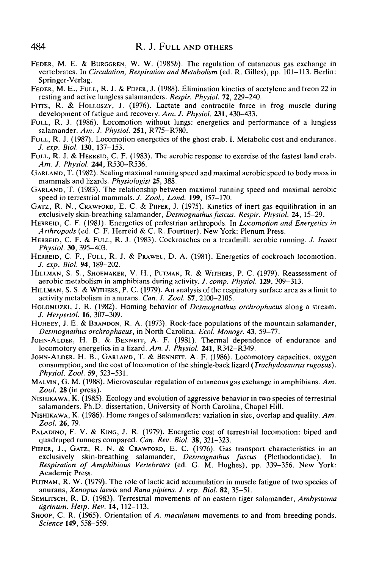- FEDER, M. E. & BURGGREN, W. W. (1985b). The regulation of cutaneous gas exchange in vertebrates. In *Circulation, Respiration and Metabolism* (ed. R. Gilles), pp. 101-113. Berlin: Springer-Verlag.
- FEDER, M. E., FULL, R. J. & PIIPER, J. (1988). Elimination kinetics of acetylene and freon 22 in resting and active lungless salamanders. *Respir. Physiol.* 72, 229-240.
- FITTS, R. & HOLLOSZY, J. (1976). Lactate and contractile force in frog muscle during development of fatigue and recovery. *Am. J. Physiol.* **231,** 430-433.
- FULL, R. J. (1986). Locomotion without lungs: energetics and performance of a lungless salamander. *Am. J. Physiol.* **251,** R775-R780.
- FULL, R. J. (1987). Locomotion energetics of the ghost crab. I. Metabolic cost and endurance. *J. exp. Biol.* **130,** 137-153.
- FULL, R. J. & HERREID, C. F. (1983). The aerobic response to exercise of the fastest land crab. *Am. J. Physiol.* **244,** R530-R536.
- GARLAND, T. (1982). Scaling maximal running speed and maximal aerobic speed to body mass in mammals and lizards. *Physiologist* **25,** 388.
- GARLAND, T. (1983). The relationship between maximal running speed and maximal aerobic speed in terrestrial mammals. *J. Zool, Lond.* **199,** 157-170.
- GATZ, R. N., CRAWFORD, E. C. & PIIPER, J. (1975). Kinetics of inert gas equilibration in an exclusively skin-breathing salamander, *Desmognathus fuscus. Respir. Physiol.* **24,** 15-29.
- HERREID, C. F. (1981). Energetics of pedestrian arthropods. In *Locomotion and Energetics in Arthropods* (ed. C. F. Herreid & C. R. Fourtner). New York: Plenum Press.
- HERREID, C. F. & FULL, R. J. (1983). Cockroaches on a treadmill: aerobic running. *J. Insect Physiol.* **30,** 395-403.
- HERREID, C. F., FULL, R. J. & PRAWEL, D. A. (1981). Energetics of cockroach locomotion. *J. exp. Biol.* **94,** 189-202.
- HILLMAN, S. S., SHOEMAKER, V. H., PUTMAN, R. & WITHERS, P. C. (1979). Reassessment of aerobic metabolism in amphibians during activity. *J. comp. Physiol.* **129,** 309-313.
- HILLMAN, S. S. & WITHERS, P. C. (1979). An analysis of the respiratory surface area as a limit to activity metabolism in anurans. *Can. J. Zool.* 57, 2100-2105.
- HOLOMUZKI, J. R. (1982). Homing behavior of *Desmognathus orchrophaeus* along a stream. *J. Herpertol.* 16, 307-309.
- HUHEEY, J. E. & BRANDON, R. A. (1973). Rock-face populations of the mountain salamander, *Desmognathus orchrophaeus,* in North Carolina. *Ecol. Monogr.* **43,** 59-77.
- JOHN-ALDER, H. B. & BENNETT, A. F. (1981). Thermal dependence of endurance and locomotory energetics in a lizard. *Am. J. Physiol.* **241,** R342-R349.
- JOHN-ALDER, H. B., GARLAND, T. & BENNETT, A. F. (1986). Locomotory capacities, oxygen consumption, and the cost of locomotion of the shingle-back lizard *(Trachydosaurus rugosus). Physiol. Zool.* **59,** 523-531.
- MALVIN, G. M. (1988). Microvascular regulation of cutaneous gas exchange in amphibians. *Am. Zool.* 28 (in press).
- NISHIKAWA, K. (1985). Ecology and evolution of aggressive behavior in two species of terrestrial salamanders. Ph.D. dissertation, University of North Carolina, Chapel Hill.
- NISHIKAWA, K. (1986). Home ranges of salamanders: variation in size, overlap and quality. *Am. Zool.* 26, 79.
- PALADINO, F. V. & KING, J. R. (1979). Energetic cost of terrestrial locomotion: biped and quadruped runners compared. *Can. Rev. Biol.* 38, 321-323.
- PIIPER, J., GATZ, R. N. & CRAWFORD, E. C. (1976). Gas transport characteristics in an exclusively skin-breathing salamander, *Desmognathus fuscus* (Plethodontidae). In *Respiration of Amphibious Vertebrates* (ed. G. M. Hughes), pp. 339-356. New York: Academic Press.
- PUTNAM, R. W. (1979). The role of lactic acid accumulation in muscle fatigue of two species of anurans, *Xenopus laevis* and *Rana pipiens. J. exp. Biol.* 82, 35-51.
- SEMLITSCH, R. D. (1983). Terrestrial movements of an eastern tiger salamander, *Ambystoma tigrinum. Herp. Rev.* **14,** 112-113.
- SHOOP, C. R. (1965). Orientation of A. maculatum movements to and from breeding ponds. *Science* **149,** 558-559.